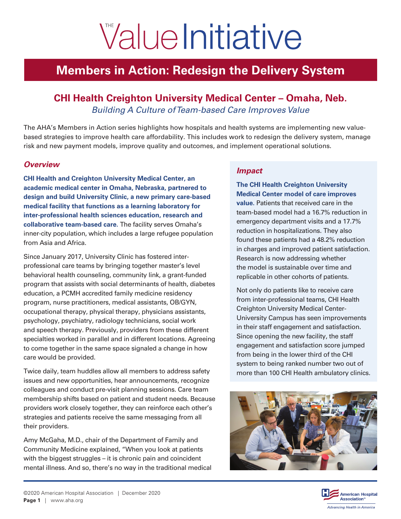# **Value Initiative**

## **Members in Action: Redesign the Delivery System**

### **CHI Health Creighton University Medical Center – Omaha, Neb.** *Building A Culture of Team-based Care Improves Value*

The AHA's Members in Action series highlights how hospitals and health systems are implementing new valuebased strategies to improve health care affordability. This includes work to redesign the delivery system, manage risk and new payment models, improve quality and outcomes, and implement operational solutions.

#### *Overview*

**CHI Health and Creighton University Medical Center, an academic medical center in Omaha, Nebraska, partnered to design and build University Clinic, a new primary care-based medical facility that functions as a learning laboratory for inter-professional health sciences education, research and collaborative team-based care.** The facility serves Omaha's inner-city population, which includes a large refugee population from Asia and Africa.

Since January 2017, University Clinic has fostered interprofessional care teams by bringing together master's level behavioral health counseling, community link, a grant-funded program that assists with social determinants of health, diabetes education, a PCMH accredited family medicine residency program, nurse practitioners, medical assistants, OB/GYN, occupational therapy, physical therapy, physicians assistants, psychology, psychiatry, radiology technicians, social work and speech therapy. Previously, providers from these different specialties worked in parallel and in different locations. Agreeing to come together in the same space signaled a change in how care would be provided.

Twice daily, team huddles allow all members to address safety issues and new opportunities, hear announcements, recognize colleagues and conduct pre-visit planning sessions. Care team membership shifts based on patient and student needs. Because providers work closely together, they can reinforce each other's strategies and patients receive the same messaging from all their providers.

Amy McGaha, M.D., chair of the Department of Family and Community Medicine explained, "When you look at patients with the biggest struggles – it is chronic pain and coincident mental illness. And so, there's no way in the traditional medical

#### *Impact*

**The CHI Health Creighton University Medical Center model of care improves value.** Patients that received care in the team-based model had a 16.7% reduction in emergency department visits and a 17.7% reduction in hospitalizations. They also found these patients had a 48.2% reduction in charges and improved patient satisfaction. Research is now addressing whether the model is sustainable over time and replicable in other cohorts of patients.

Not only do patients like to receive care from inter-professional teams, CHI Health Creighton University Medical Center-University Campus has seen improvements in their staff engagement and satisfaction. Since opening the new facility, the staff engagement and satisfaction score jumped from being in the lower third of the CHI system to being ranked number two out of more than 100 CHI Health ambulatory clinics.